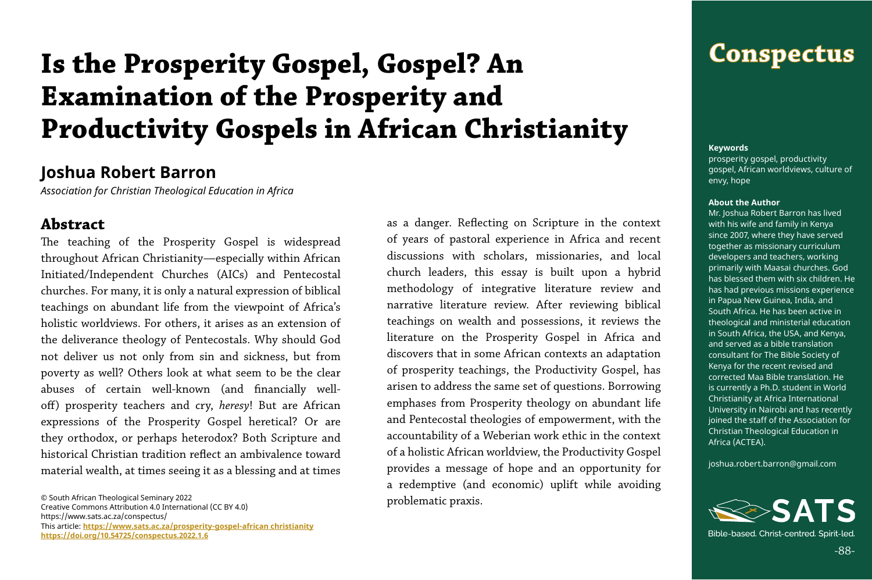## **Conspectus**

-88-

© South African Theological Seminary 2022 Creative Commons Attribution 4.0 International (CC BY 4.0) https://www.sats.ac.za/conspectus/ This article: **[https://www.sats.ac.za/](https://www.sats.ac.za/prosperity-gospel-african christianity)prosperity-gospel-african christianity [https://doi.org/10.54725/conspectus.2022.1.6](https://doi.org/10.54725/conspectus.2022.1.6
)**

**Keywords**

prosperity gospel, productivity gospel, African worldviews, culture of envy, hope

#### **About the Author**

Mr. Joshua Robert Barron has lived with his wife and family in Kenya since 2007, where they have served together as missionary curriculum developers and teachers, working primarily with Maasai churches. God has blessed them with six children. He has had previous missions experience in Papua New Guinea, India, and South Africa. He has been active in theological and ministerial education in South Africa, the USA, and Kenya, and served as a bible translation consultant for The Bible Society of Kenya for the recent revised and corrected Maa Bible translation. He is currently a Ph.D. student in World Christianity at Africa International University in Nairobi and has recently joined the staff of the Association for Christian Theological Education in Africa (ACTEA).

joshua.robert.barron@gmail.com



Bible-based, Christ-centred, Spirit-led,

#### **Joshua Robert Barron**

*Association for Christian Theological Education in Africa*

#### **Abstract**

The teaching of the Prosperity Gospel is widespread throughout African Christianity—especially within African Initiated/Independent Churches (AICs) and Pentecostal churches. For many, it is only a natural expression of biblical teachings on abundant life from the viewpoint of Africa's holistic worldviews. For others, it arises as an extension of the deliverance theology of Pentecostals. Why should God not deliver us not only from sin and sickness, but from poverty as well? Others look at what seem to be the clear abuses of certain well-known (and financially welloff) prosperity teachers and cry, *heresy*! But are African expressions of the Prosperity Gospel heretical? Or are they orthodox, or perhaps heterodox? Both Scripture and historical Christian tradition reflect an ambivalence toward material wealth, at times seeing it as a blessing and at times

as a danger. Reflecting on Scripture in the context of years of pastoral experience in Africa and recent discussions with scholars, missionaries, and local church leaders, this essay is built upon a hybrid methodology of integrative literature review and narrative literature review. After reviewing biblical teachings on wealth and possessions, it reviews the literature on the Prosperity Gospel in Africa and discovers that in some African contexts an adaptation of prosperity teachings, the Productivity Gospel, has arisen to address the same set of questions. Borrowing emphases from Prosperity theology on abundant life and Pentecostal theologies of empowerment, with the accountability of a Weberian work ethic in the context of a holistic African worldview, the Productivity Gospel provides a message of hope and an opportunity for a redemptive (and economic) uplift while avoiding problematic praxis.

# **Is the Prosperity Gospel, Gospel? An Examination of the Prosperity and Productivity Gospels in African Christianity**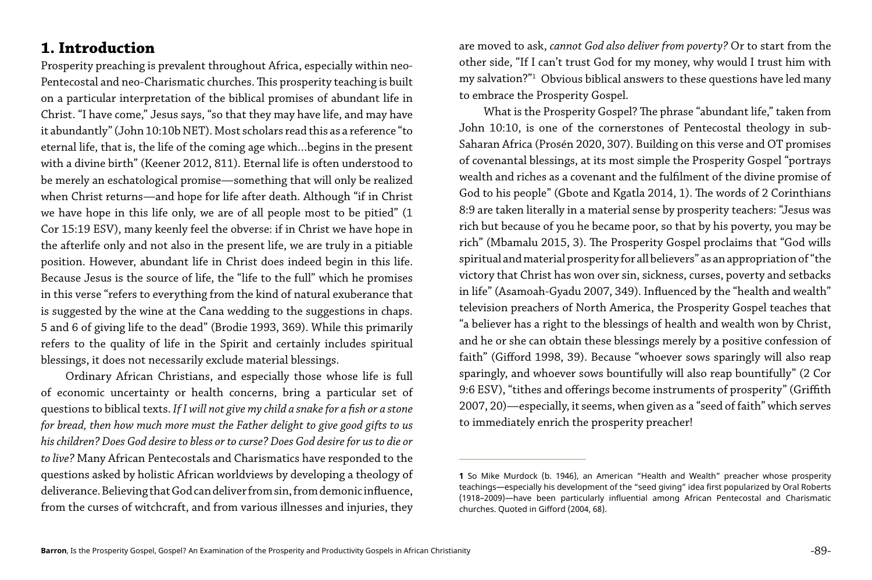#### **1. Introduction**

Prosperity preaching is prevalent throughout Africa, especially within neo-Pentecostal and neo-Charismatic churches. This prosperity teaching is built on a particular interpretation of the biblical promises of abundant life in Christ. "I have come," Jesus says, "so that they may have life, and may have it abundantly" (John 10:10b NET). Most scholars read this as a reference "to eternal life, that is, the life of the coming age which…begins in the present with a divine birth" (Keener 2012, 811). Eternal life is often understood to be merely an eschatological promise—something that will only be realized when Christ returns—and hope for life after death. Although "if in Christ we have hope in this life only, we are of all people most to be pitied" (1 Cor 15:19 ESV), many keenly feel the obverse: if in Christ we have hope in the afterlife only and not also in the present life, we are truly in a pitiable position. However, abundant life in Christ does indeed begin in this life. Because Jesus is the source of life, the "life to the full" which he promises in this verse "refers to everything from the kind of natural exuberance that is suggested by the wine at the Cana wedding to the suggestions in chaps. 5 and 6 of giving life to the dead" (Brodie 1993, 369). While this primarily refers to the quality of life in the Spirit and certainly includes spiritual blessings, it does not necessarily exclude material blessings.

Ordinary African Christians, and especially those whose life is full of economic uncertainty or health concerns, bring a particular set of questions to biblical texts. *If I will not give my child a snake for a fish or a stone for bread, then how much more must the Father delight to give good gifts to us his children? Does God desire to bless or to curse? Does God desire for us to die or to live?* Many African Pentecostals and Charismatics have responded to the questions asked by holistic African worldviews by developing a theology of deliverance. Believing that God can deliver from sin, from demonic influence, from the curses of witchcraft, and from various illnesses and injuries, they

are moved to ask, *cannot God also deliver from poverty?* Or to start from the other side, "If I can't trust God for my money, why would I trust him with my salvation?"1 Obvious biblical answers to these questions have led many to embrace the Prosperity Gospel.

What is the Prosperity Gospel? The phrase "abundant life," taken from John 10:10, is one of the cornerstones of Pentecostal theology in sub-Saharan Africa (Prosén 2020, 307). Building on this verse and OT promises of covenantal blessings, at its most simple the Prosperity Gospel "portrays wealth and riches as a covenant and the fulfilment of the divine promise of God to his people" (Gbote and Kgatla 2014, 1). The words of 2 Corinthians 8:9 are taken literally in a material sense by prosperity teachers: "Jesus was rich but because of you he became poor, so that by his poverty, you may be rich" (Mbamalu 2015, 3). The Prosperity Gospel proclaims that "God wills spiritual and material prosperity for all believers" as an appropriation of "the victory that Christ has won over sin, sickness, curses, poverty and setbacks in life" (Asamoah-Gyadu 2007, 349). Influenced by the "health and wealth" television preachers of North America, the Prosperity Gospel teaches that "a believer has a right to the blessings of health and wealth won by Christ, and he or she can obtain these blessings merely by a positive confession of faith" (Gifford 1998, 39). Because "whoever sows sparingly will also reap sparingly, and whoever sows bountifully will also reap bountifully" (2 Cor 9:6 ESV), "tithes and offerings become instruments of prosperity" (Griffith 2007, 20)—especially, it seems, when given as a "seed of faith" which serves to immediately enrich the prosperity preacher!

**1** So Mike Murdock (b. 1946), an American "Health and Wealth" preacher whose prosperity teachings—especially his development of the "seed giving" idea first popularized by Oral Roberts (1918–2009)—have been particularly influential among African Pentecostal and Charismatic

churches. Quoted in Gifford (2004, 68).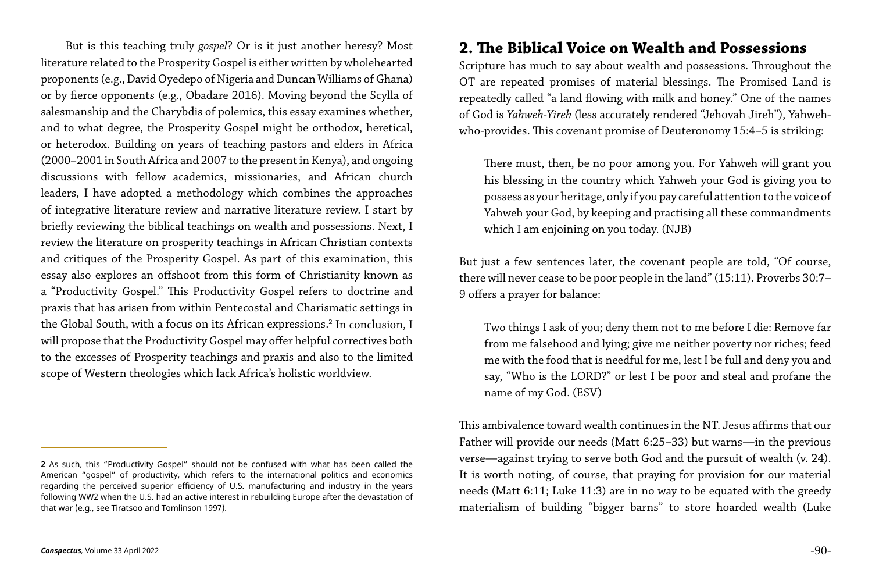But is this teaching truly *gospel*? Or is it just another heresy? Most literature related to the Prosperity Gospel is either written by wholehearted proponents (e.g., David Oyedepo of Nigeria and Duncan Williams of Ghana) or by fierce opponents (e.g., Obadare 2016). Moving beyond the Scylla of salesmanship and the Charybdis of polemics, this essay examines whether, and to what degree, the Prosperity Gospel might be orthodox, heretical, or heterodox. Building on years of teaching pastors and elders in Africa (2000–2001 in South Africa and 2007 to the present in Kenya), and ongoing discussions with fellow academics, missionaries, and African church leaders, I have adopted a methodology which combines the approaches of integrative literature review and narrative literature review. I start by briefly reviewing the biblical teachings on wealth and possessions. Next, I review the literature on prosperity teachings in African Christian contexts and critiques of the Prosperity Gospel. As part of this examination, this essay also explores an offshoot from this form of Christianity known as a "Productivity Gospel." This Productivity Gospel refers to doctrine and praxis that has arisen from within Pentecostal and Charismatic settings in the Global South, with a focus on its African expressions.<sup>2</sup> In conclusion, I will propose that the Productivity Gospel may offer helpful correctives both to the excesses of Prosperity teachings and praxis and also to the limited scope of Western theologies which lack Africa's holistic worldview.

### **2. The Biblical Voice on Wealth and Possessions**

Scripture has much to say about wealth and possessions. Throughout the OT are repeated promises of material blessings. The Promised Land is repeatedly called "a land flowing with milk and honey." One of the names of God is *Yahweh-Yireh* (less accurately rendered "Jehovah Jireh"), Yahwehwho-provides. This covenant promise of Deuteronomy 15:4–5 is striking:

There must, then, be no poor among you. For Yahweh will grant you his blessing in the country which Yahweh your God is giving you to possess as your heritage, only if you pay careful attention to the voice of Yahweh your God, by keeping and practising all these commandments which I am enjoining on you today. (NJB)

But just a few sentences later, the covenant people are told, "Of course, there will never cease to be poor people in the land" (15:11). Proverbs 30:7– 9 offers a prayer for balance:

Two things I ask of you; deny them not to me before I die: Remove far from me falsehood and lying; give me neither poverty nor riches; feed me with the food that is needful for me, lest I be full and deny you and say, "Who is the LORD?" or lest I be poor and steal and profane the name of my God. (ESV)

This ambivalence toward wealth continues in the NT. Jesus affirms that our Father will provide our needs (Matt 6:25–33) but warns—in the previous verse—against trying to serve both God and the pursuit of wealth (v. 24). It is worth noting, of course, that praying for provision for our material needs (Matt 6:11; Luke 11:3) are in no way to be equated with the greedy materialism of building "bigger barns" to store hoarded wealth (Luke

**<sup>2</sup>** As such, this "Productivity Gospel" should not be confused with what has been called the American "gospel" of productivity, which refers to the international politics and economics regarding the perceived superior efficiency of U.S. manufacturing and industry in the years following WW2 when the U.S. had an active interest in rebuilding Europe after the devastation of that war (e.g., see Tiratsoo and Tomlinson 1997).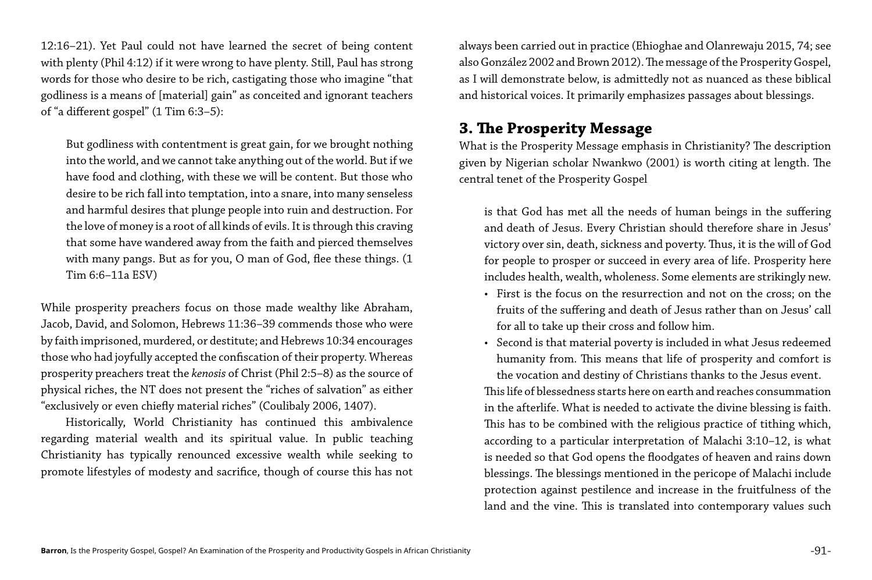12:16–21). Yet Paul could not have learned the secret of being content with plenty (Phil 4:12) if it were wrong to have plenty. Still, Paul has strong words for those who desire to be rich, castigating those who imagine "that godliness is a means of [material] gain" as conceited and ignorant teachers of "a different gospel" (1 Tim 6:3–5):

But godliness with contentment is great gain, for we brought nothing into the world, and we cannot take anything out of the world. But if we have food and clothing, with these we will be content. But those who desire to be rich fall into temptation, into a snare, into many senseless and harmful desires that plunge people into ruin and destruction. For the love of money is a root of all kinds of evils. It is through this craving that some have wandered away from the faith and pierced themselves with many pangs. But as for you, O man of God, flee these things. (1 Tim 6:6–11a ESV)

While prosperity preachers focus on those made wealthy like Abraham, Jacob, David, and Solomon, Hebrews 11:36–39 commends those who were by faith imprisoned, murdered, or destitute; and Hebrews 10:34 encourages those who had joyfully accepted the confiscation of their property. Whereas prosperity preachers treat the *kenosis* of Christ (Phil 2:5–8) as the source of physical riches, the NT does not present the "riches of salvation" as either "exclusively or even chiefly material riches" (Coulibaly 2006, 1407).

Historically, World Christianity has continued this ambivalence regarding material wealth and its spiritual value. In public teaching Christianity has typically renounced excessive wealth while seeking to promote lifestyles of modesty and sacrifice, though of course this has not always been carried out in practice (Ehioghae and Olanrewaju 2015, 74; see also González 2002 and Brown 2012). The message of the Prosperity Gospel, as I will demonstrate below, is admittedly not as nuanced as these biblical and historical voices. It primarily emphasizes passages about blessings.

#### **3. The Prosperity Message**

What is the Prosperity Message emphasis in Christianity? The description given by Nigerian scholar Nwankwo (2001) is worth citing at length. The central tenet of the Prosperity Gospel

is that God has met all the needs of human beings in the suffering and death of Jesus. Every Christian should therefore share in Jesus' victory over sin, death, sickness and poverty. Thus, it is the will of God for people to prosper or succeed in every area of life. Prosperity here includes health, wealth, wholeness. Some elements are strikingly new. • First is the focus on the resurrection and not on the cross; on the fruits of the suffering and death of Jesus rather than on Jesus' call for all to take up their cross and follow him.

- 
- 

• Second is that material poverty is included in what Jesus redeemed humanity from. This means that life of prosperity and comfort is the vocation and destiny of Christians thanks to the Jesus event.

This life of blessedness starts here on earth and reaches consummation in the afterlife. What is needed to activate the divine blessing is faith. This has to be combined with the religious practice of tithing which, according to a particular interpretation of Malachi 3:10–12, is what is needed so that God opens the floodgates of heaven and rains down blessings. The blessings mentioned in the pericope of Malachi include protection against pestilence and increase in the fruitfulness of the land and the vine. This is translated into contemporary values such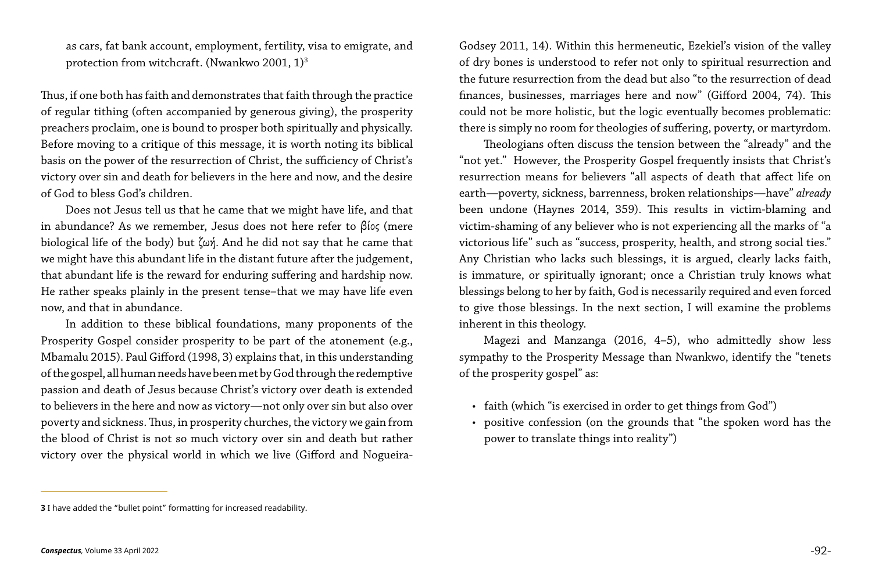as cars, fat bank account, employment, fertility, visa to emigrate, and protection from witchcraft. (Nwankwo 2001, 1)<sup>3</sup>

Thus, if one both has faith and demonstrates that faith through the practice of regular tithing (often accompanied by generous giving), the prosperity preachers proclaim, one is bound to prosper both spiritually and physically. Before moving to a critique of this message, it is worth noting its biblical basis on the power of the resurrection of Christ, the sufficiency of Christ's victory over sin and death for believers in the here and now, and the desire of God to bless God's children.

Does not Jesus tell us that he came that we might have life, and that in abundance? As we remember, Jesus does not here refer to βίος (mere biological life of the body) but ζωή. And he did not say that he came that we might have this abundant life in the distant future after the judgement, that abundant life is the reward for enduring suffering and hardship now. He rather speaks plainly in the present tense–that we may have life even now, and that in abundance.

In addition to these biblical foundations, many proponents of the Prosperity Gospel consider prosperity to be part of the atonement (e.g., Mbamalu 2015). Paul Gifford (1998, 3) explains that, in this understanding of the gospel, all human needs have been met by God through the redemptive passion and death of Jesus because Christ's victory over death is extended to believers in the here and now as victory—not only over sin but also over poverty and sickness. Thus, in prosperity churches, the victory we gain from the blood of Christ is not so much victory over sin and death but rather victory over the physical world in which we live (Gifford and NogueiraGodsey 2011, 14). Within this hermeneutic, Ezekiel's vision of the valley of dry bones is understood to refer not only to spiritual resurrection and the future resurrection from the dead but also "to the resurrection of dead finances, businesses, marriages here and now" (Gifford 2004, 74). This could not be more holistic, but the logic eventually becomes problematic: there is simply no room for theologies of suffering, poverty, or martyrdom. Theologians often discuss the tension between the "already" and the "not yet." However, the Prosperity Gospel frequently insists that Christ's resurrection means for believers "all aspects of death that affect life on earth—poverty, sickness, barrenness, broken relationships—have" *already* been undone (Haynes 2014, 359). This results in victim-blaming and victim-shaming of any believer who is not experiencing all the marks of "a victorious life" such as "success, prosperity, health, and strong social ties." Any Christian who lacks such blessings, it is argued, clearly lacks faith, is immature, or spiritually ignorant; once a Christian truly knows what blessings belong to her by faith, God is necessarily required and even forced to give those blessings. In the next section, I will examine the problems

inherent in this theology.

Magezi and Manzanga (2016, 4–5), who admittedly show less sympathy to the Prosperity Message than Nwankwo, identify the "tenets of the prosperity gospel" as:

• faith (which "is exercised in order to get things from God") • positive confession (on the grounds that "the spoken word has the

- 
- power to translate things into reality")

**<sup>3</sup>** I have added the "bullet point" formatting for increased readability.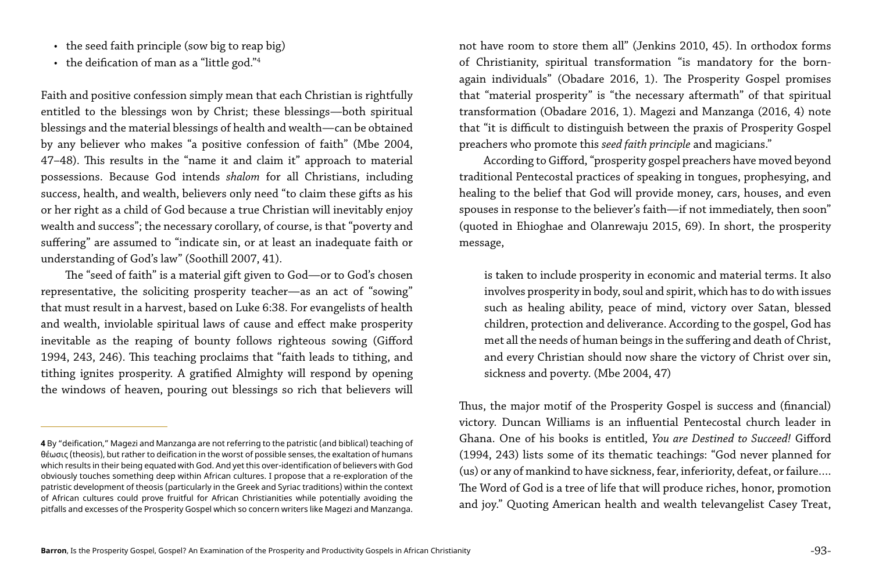- the seed faith principle (sow big to reap big)
- the deification of man as a "little god."4

Faith and positive confession simply mean that each Christian is rightfully entitled to the blessings won by Christ; these blessings—both spiritual blessings and the material blessings of health and wealth—can be obtained by any believer who makes "a positive confession of faith" (Mbe 2004, 47–48). This results in the "name it and claim it" approach to material possessions. Because God intends *shalom* for all Christians, including success, health, and wealth, believers only need "to claim these gifts as his or her right as a child of God because a true Christian will inevitably enjoy wealth and success"; the necessary corollary, of course, is that "poverty and suffering" are assumed to "indicate sin, or at least an inadequate faith or understanding of God's law" (Soothill 2007, 41).

The "seed of faith" is a material gift given to God—or to God's chosen representative, the soliciting prosperity teacher—as an act of "sowing" that must result in a harvest, based on Luke 6:38. For evangelists of health and wealth, inviolable spiritual laws of cause and effect make prosperity inevitable as the reaping of bounty follows righteous sowing (Gifford 1994, 243, 246). This teaching proclaims that "faith leads to tithing, and tithing ignites prosperity. A gratified Almighty will respond by opening the windows of heaven, pouring out blessings so rich that believers will

not have room to store them all" (Jenkins 2010, 45). In orthodox forms of Christianity, spiritual transformation "is mandatory for the bornagain individuals" (Obadare 2016, 1). The Prosperity Gospel promises that "material prosperity" is "the necessary aftermath" of that spiritual transformation (Obadare 2016, 1). Magezi and Manzanga (2016, 4) note that "it is difficult to distinguish between the praxis of Prosperity Gospel preachers who promote this *seed faith principle* and magicians."

According to Gifford, "prosperity gospel preachers have moved beyond traditional Pentecostal practices of speaking in tongues, prophesying, and healing to the belief that God will provide money, cars, houses, and even spouses in response to the believer's faith—if not immediately, then soon" (quoted in Ehioghae and Olanrewaju 2015, 69). In short, the prosperity message,

is taken to include prosperity in economic and material terms. It also involves prosperity in body, soul and spirit, which has to do with issues such as healing ability, peace of mind, victory over Satan, blessed children, protection and deliverance. According to the gospel, God has met all the needs of human beings in the suffering and death of Christ, and every Christian should now share the victory of Christ over sin, sickness and poverty. (Mbe 2004, 47)

Thus, the major motif of the Prosperity Gospel is success and (financial) victory. Duncan Williams is an influential Pentecostal church leader in Ghana. One of his books is entitled, *You are Destined to Succeed!* Gifford (1994, 243) lists some of its thematic teachings: "God never planned for (us) or any of mankind to have sickness, fear, inferiority, defeat, or failure…. The Word of God is a tree of life that will produce riches, honor, promotion and joy." Quoting American health and wealth televangelist Casey Treat,

**<sup>4</sup>** By "deification," Magezi and Manzanga are not referring to the patristic (and biblical) teaching of θέωσις (theosis), but rather to deification in the worst of possible senses, the exaltation of humans which results in their being equated with God. And yet this over-identification of believers with God obviously touches something deep within African cultures. I propose that a re-exploration of the patristic development of theosis (particularly in the Greek and Syriac traditions) within the context of African cultures could prove fruitful for African Christianities while potentially avoiding the pitfalls and excesses of the Prosperity Gospel which so concern writers like Magezi and Manzanga.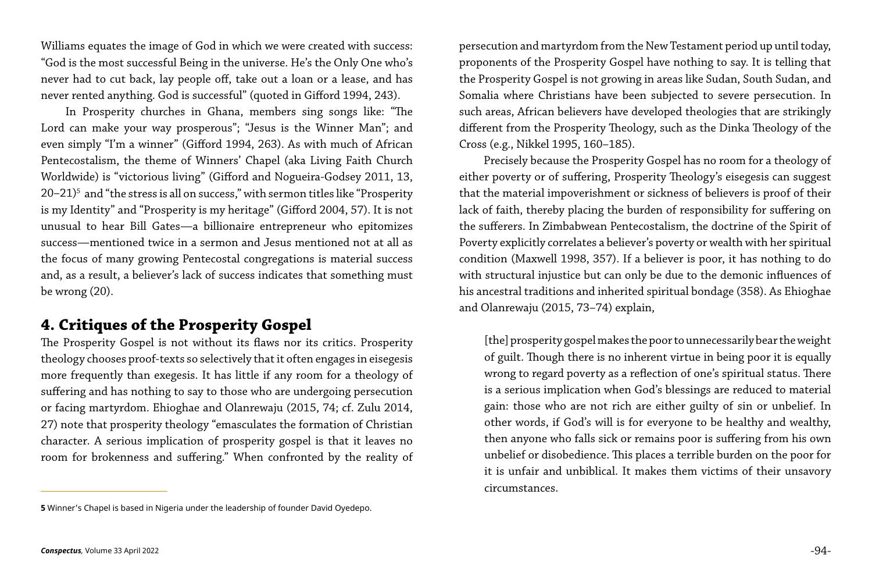Williams equates the image of God in which we were created with success: "God is the most successful Being in the universe. He's the Only One who's never had to cut back, lay people off, take out a loan or a lease, and has never rented anything. God is successful" (quoted in Gifford 1994, 243).

In Prosperity churches in Ghana, members sing songs like: "The Lord can make your way prosperous"; "Jesus is the Winner Man"; and even simply "I'm a winner" (Gifford 1994, 263). As with much of African Pentecostalism, the theme of Winners' Chapel (aka Living Faith Church Worldwide) is "victorious living" (Gifford and Nogueira-Godsey 2011, 13, 20–21)5 and "the stress is all on success," with sermon titles like "Prosperity is my Identity" and "Prosperity is my heritage" (Gifford 2004, 57). It is not unusual to hear Bill Gates—a billionaire entrepreneur who epitomizes success—mentioned twice in a sermon and Jesus mentioned not at all as the focus of many growing Pentecostal congregations is material success and, as a result, a believer's lack of success indicates that something must be wrong (20).

#### **4. Critiques of the Prosperity Gospel**

The Prosperity Gospel is not without its flaws nor its critics. Prosperity theology chooses proof-texts so selectively that it often engages in eisegesis more frequently than exegesis. It has little if any room for a theology of suffering and has nothing to say to those who are undergoing persecution or facing martyrdom. Ehioghae and Olanrewaju (2015, 74; cf. Zulu 2014, 27) note that prosperity theology "emasculates the formation of Christian character. A serious implication of prosperity gospel is that it leaves no room for brokenness and suffering." When confronted by the reality of persecution and martyrdom from the New Testament period up until today, proponents of the Prosperity Gospel have nothing to say. It is telling that the Prosperity Gospel is not growing in areas like Sudan, South Sudan, and Somalia where Christians have been subjected to severe persecution. In such areas, African believers have developed theologies that are strikingly different from the Prosperity Theology, such as the Dinka Theology of the Cross (e.g., Nikkel 1995, 160–185).

Precisely because the Prosperity Gospel has no room for a theology of either poverty or of suffering, Prosperity Theology's eisegesis can suggest that the material impoverishment or sickness of believers is proof of their lack of faith, thereby placing the burden of responsibility for suffering on the sufferers. In Zimbabwean Pentecostalism, the doctrine of the Spirit of Poverty explicitly correlates a believer's poverty or wealth with her spiritual condition (Maxwell 1998, 357). If a believer is poor, it has nothing to do with structural injustice but can only be due to the demonic influences of his ancestral traditions and inherited spiritual bondage (358). As Ehioghae and Olanrewaju (2015, 73–74) explain,

[the] prosperity gospel makes the poor to unnecessarily bear the weight of guilt. Though there is no inherent virtue in being poor it is equally wrong to regard poverty as a reflection of one's spiritual status. There is a serious implication when God's blessings are reduced to material gain: those who are not rich are either guilty of sin or unbelief. In other words, if God's will is for everyone to be healthy and wealthy, then anyone who falls sick or remains poor is suffering from his own unbelief or disobedience. This places a terrible burden on the poor for it is unfair and unbiblical. It makes them victims of their unsavory circumstances.

**<sup>5</sup>** Winner's Chapel is based in Nigeria under the leadership of founder David Oyedepo.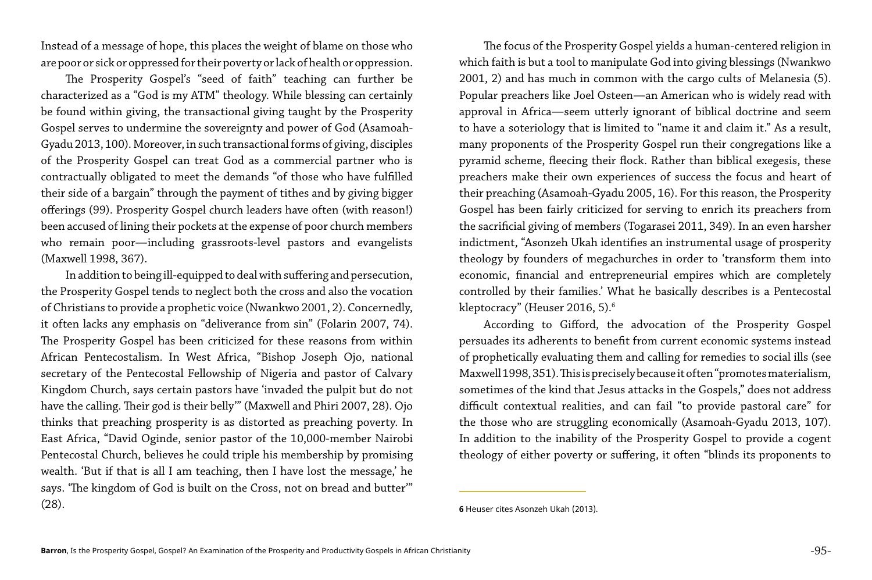Instead of a message of hope, this places the weight of blame on those who are poor or sick or oppressed for their poverty or lack of health or oppression.

The Prosperity Gospel's "seed of faith" teaching can further be characterized as a "God is my ATM" theology. While blessing can certainly be found within giving, the transactional giving taught by the Prosperity Gospel serves to undermine the sovereignty and power of God (Asamoah-Gyadu 2013, 100). Moreover, in such transactional forms of giving, disciples of the Prosperity Gospel can treat God as a commercial partner who is contractually obligated to meet the demands "of those who have fulfilled their side of a bargain" through the payment of tithes and by giving bigger offerings (99). Prosperity Gospel church leaders have often (with reason!) been accused of lining their pockets at the expense of poor church members who remain poor—including grassroots-level pastors and evangelists (Maxwell 1998, 367).

The focus of the Prosperity Gospel yields a human-centered religion in which faith is but a tool to manipulate God into giving blessings (Nwankwo 2001, 2) and has much in common with the cargo cults of Melanesia (5). Popular preachers like Joel Osteen—an American who is widely read with approval in Africa—seem utterly ignorant of biblical doctrine and seem to have a soteriology that is limited to "name it and claim it." As a result, many proponents of the Prosperity Gospel run their congregations like a pyramid scheme, fleecing their flock. Rather than biblical exegesis, these preachers make their own experiences of success the focus and heart of their preaching (Asamoah-Gyadu 2005, 16). For this reason, the Prosperity Gospel has been fairly criticized for serving to enrich its preachers from the sacrificial giving of members (Togarasei 2011, 349). In an even harsher indictment, "Asonzeh Ukah identifies an instrumental usage of prosperity theology by founders of megachurches in order to 'transform them into economic, financial and entrepreneurial empires which are completely controlled by their families.' What he basically describes is a Pentecostal kleptocracy" (Heuser 2016, 5). $^{\rm 6}$ 

In addition to being ill-equipped to deal with suffering and persecution, the Prosperity Gospel tends to neglect both the cross and also the vocation of Christians to provide a prophetic voice (Nwankwo 2001, 2). Concernedly, it often lacks any emphasis on "deliverance from sin" (Folarin 2007, 74). The Prosperity Gospel has been criticized for these reasons from within African Pentecostalism. In West Africa, "Bishop Joseph Ojo, national secretary of the Pentecostal Fellowship of Nigeria and pastor of Calvary Kingdom Church, says certain pastors have 'invaded the pulpit but do not have the calling. Their god is their belly'" (Maxwell and Phiri 2007, 28). Ojo thinks that preaching prosperity is as distorted as preaching poverty. In East Africa, "David Oginde, senior pastor of the 10,000-member Nairobi Pentecostal Church, believes he could triple his membership by promising wealth. 'But if that is all I am teaching, then I have lost the message,' he says. 'The kingdom of God is built on the Cross, not on bread and butter'" (28).

According to Gifford, the advocation of the Prosperity Gospel persuades its adherents to benefit from current economic systems instead of prophetically evaluating them and calling for remedies to social ills (see Maxwell 1998, 351). This is precisely because it often "promotes materialism, sometimes of the kind that Jesus attacks in the Gospels," does not address difficult contextual realities, and can fail "to provide pastoral care" for the those who are struggling economically (Asamoah-Gyadu 2013, 107). In addition to the inability of the Prosperity Gospel to provide a cogent theology of either poverty or suffering, it often "blinds its proponents to

**<sup>6</sup>** Heuser cites Asonzeh Ukah (2013).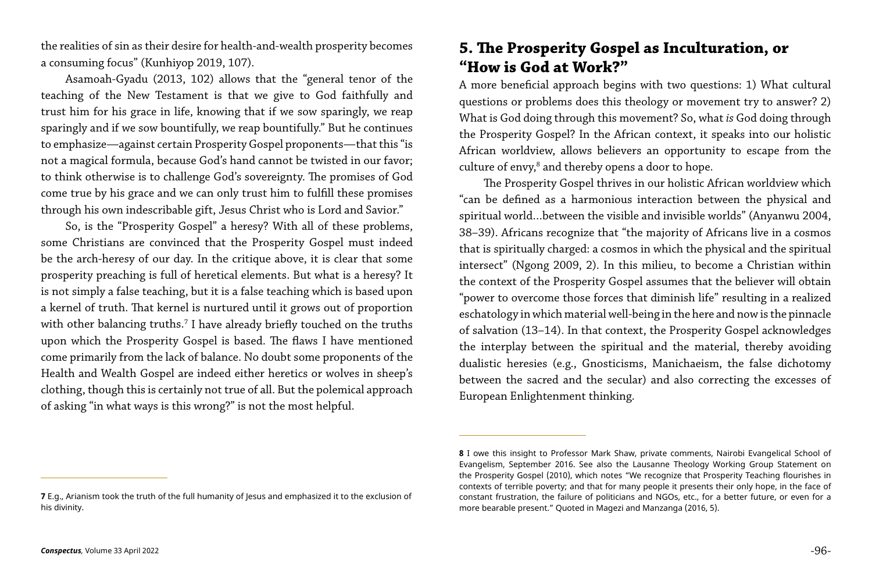the realities of sin as their desire for health-and-wealth prosperity becomes a consuming focus" (Kunhiyop 2019, 107).

Asamoah-Gyadu (2013, 102) allows that the "general tenor of the teaching of the New Testament is that we give to God faithfully and trust him for his grace in life, knowing that if we sow sparingly, we reap sparingly and if we sow bountifully, we reap bountifully." But he continues to emphasize—against certain Prosperity Gospel proponents—that this "is not a magical formula, because God's hand cannot be twisted in our favor; to think otherwise is to challenge God's sovereignty. The promises of God come true by his grace and we can only trust him to fulfill these promises through his own indescribable gift, Jesus Christ who is Lord and Savior."

A more beneficial approach begins with two questions: 1) What cultural questions or problems does this theology or movement try to answer? 2) What is God doing through this movement? So, what *is* God doing through the Prosperity Gospel? In the African context, it speaks into our holistic African worldview, allows believers an opportunity to escape from the culture of envy,<sup>8</sup> and thereby opens a door to hope.

So, is the "Prosperity Gospel" a heresy? With all of these problems, some Christians are convinced that the Prosperity Gospel must indeed be the arch-heresy of our day. In the critique above, it is clear that some prosperity preaching is full of heretical elements. But what is a heresy? It is not simply a false teaching, but it is a false teaching which is based upon a kernel of truth. That kernel is nurtured until it grows out of proportion with other balancing truths.7 I have already briefly touched on the truths upon which the Prosperity Gospel is based. The flaws I have mentioned come primarily from the lack of balance. No doubt some proponents of the Health and Wealth Gospel are indeed either heretics or wolves in sheep's clothing, though this is certainly not true of all. But the polemical approach of asking "in what ways is this wrong?" is not the most helpful.

#### **5. The Prosperity Gospel as Inculturation, or "How is God at Work?"**

The Prosperity Gospel thrives in our holistic African worldview which "can be defined as a harmonious interaction between the physical and spiritual world…between the visible and invisible worlds" (Anyanwu 2004, 38–39). Africans recognize that "the majority of Africans live in a cosmos that is spiritually charged: a cosmos in which the physical and the spiritual intersect" (Ngong 2009, 2). In this milieu, to become a Christian within the context of the Prosperity Gospel assumes that the believer will obtain "power to overcome those forces that diminish life" resulting in a realized eschatology in which material well-being in the here and now is the pinnacle of salvation (13–14). In that context, the Prosperity Gospel acknowledges the interplay between the spiritual and the material, thereby avoiding dualistic heresies (e.g., Gnosticisms, Manichaeism, the false dichotomy between the sacred and the secular) and also correcting the excesses of European Enlightenment thinking.

**8** I owe this insight to Professor Mark Shaw, private comments, Nairobi Evangelical School of Evangelism, September 2016. See also the Lausanne Theology Working Group Statement on the Prosperity Gospel (2010), which notes "We recognize that Prosperity Teaching flourishes in contexts of terrible poverty; and that for many people it presents their only hope, in the face of constant frustration, the failure of politicians and NGOs, etc., for a better future, or even for a

**<sup>7</sup>** E.g., Arianism took the truth of the full humanity of Jesus and emphasized it to the exclusion of his divinity.

more bearable present." Quoted in Magezi and Manzanga (2016, 5).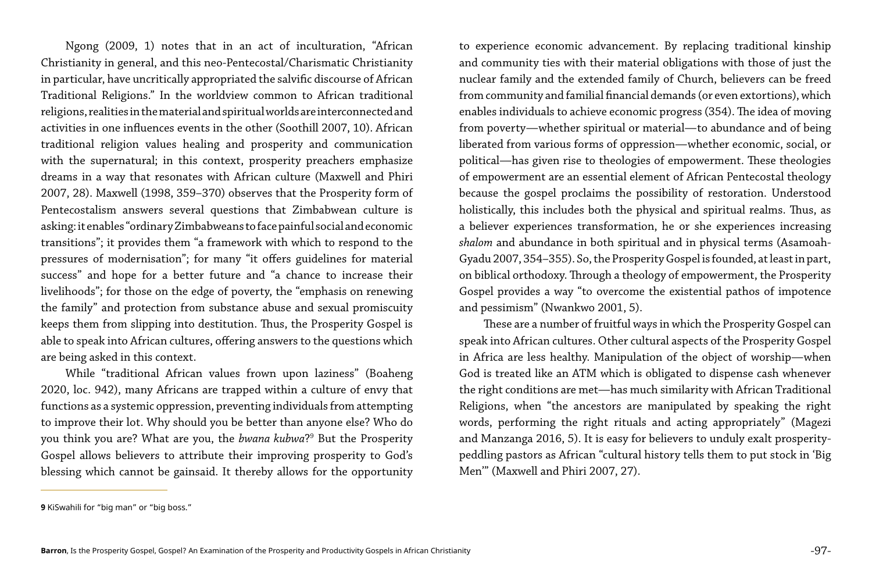Ngong (2009, 1) notes that in an act of inculturation, "African Christianity in general, and this neo-Pentecostal/Charismatic Christianity in particular, have uncritically appropriated the salvific discourse of African Traditional Religions." In the worldview common to African traditional religions, realities in the material and spiritual worlds are interconnected and activities in one influences events in the other (Soothill 2007, 10). African traditional religion values healing and prosperity and communication with the supernatural; in this context, prosperity preachers emphasize dreams in a way that resonates with African culture (Maxwell and Phiri 2007, 28). Maxwell (1998, 359–370) observes that the Prosperity form of Pentecostalism answers several questions that Zimbabwean culture is asking: it enables "ordinary Zimbabweans to face painful social and economic transitions"; it provides them "a framework with which to respond to the pressures of modernisation"; for many "it offers guidelines for material success" and hope for a better future and "a chance to increase their livelihoods"; for those on the edge of poverty, the "emphasis on renewing the family" and protection from substance abuse and sexual promiscuity keeps them from slipping into destitution. Thus, the Prosperity Gospel is able to speak into African cultures, offering answers to the questions which are being asked in this context.

While "traditional African values frown upon laziness" (Boaheng 2020, loc. 942), many Africans are trapped within a culture of envy that functions as a systemic oppression, preventing individuals from attempting to improve their lot. Why should you be better than anyone else? Who do you think you are? What are you, the *bwana kubwa*?9 But the Prosperity Gospel allows believers to attribute their improving prosperity to God's blessing which cannot be gainsaid. It thereby allows for the opportunity

to experience economic advancement. By replacing traditional kinship and community ties with their material obligations with those of just the nuclear family and the extended family of Church, believers can be freed from community and familial financial demands (or even extortions), which enables individuals to achieve economic progress (354). The idea of moving from poverty—whether spiritual or material—to abundance and of being liberated from various forms of oppression—whether economic, social, or political—has given rise to theologies of empowerment. These theologies of empowerment are an essential element of African Pentecostal theology because the gospel proclaims the possibility of restoration. Understood holistically, this includes both the physical and spiritual realms. Thus, as a believer experiences transformation, he or she experiences increasing *shalom* and abundance in both spiritual and in physical terms (Asamoah-Gyadu 2007, 354–355). So, the Prosperity Gospel is founded, at least in part, on biblical orthodoxy. Through a theology of empowerment, the Prosperity Gospel provides a way "to overcome the existential pathos of impotence and pessimism" (Nwankwo 2001, 5).

These are a number of fruitful ways in which the Prosperity Gospel can speak into African cultures. Other cultural aspects of the Prosperity Gospel in Africa are less healthy. Manipulation of the object of worship—when God is treated like an ATM which is obligated to dispense cash whenever the right conditions are met—has much similarity with African Traditional Religions, when "the ancestors are manipulated by speaking the right words, performing the right rituals and acting appropriately" (Magezi and Manzanga 2016, 5). It is easy for believers to unduly exalt prosperitypeddling pastors as African "cultural history tells them to put stock in 'Big Men'" (Maxwell and Phiri 2007, 27).

**<sup>9</sup>** KiSwahili for "big man" or "big boss."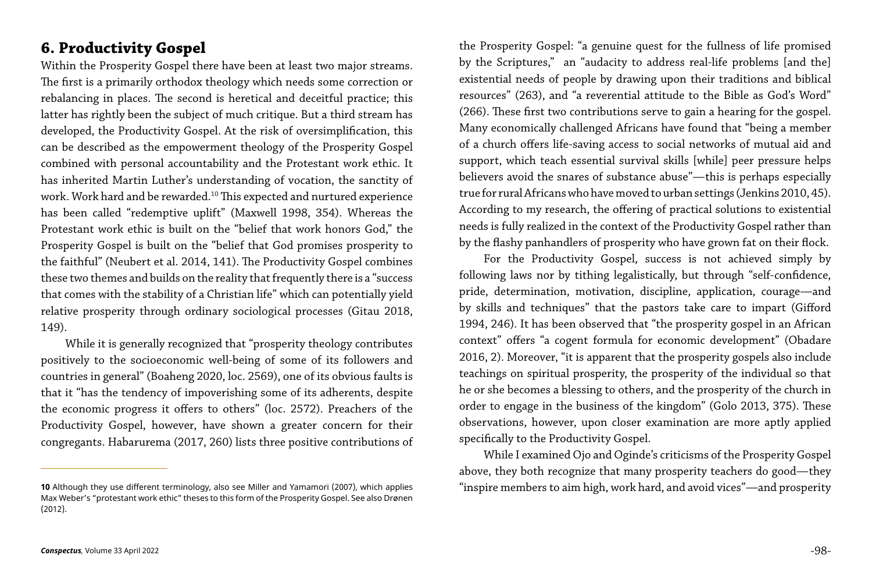### **6. Productivity Gospel**

Within the Prosperity Gospel there have been at least two major streams. The first is a primarily orthodox theology which needs some correction or rebalancing in places. The second is heretical and deceitful practice; this latter has rightly been the subject of much critique. But a third stream has developed, the Productivity Gospel. At the risk of oversimplification, this can be described as the empowerment theology of the Prosperity Gospel combined with personal accountability and the Protestant work ethic. It has inherited Martin Luther's understanding of vocation, the sanctity of work. Work hard and be rewarded.<sup>10</sup> This expected and nurtured experience has been called "redemptive uplift" (Maxwell 1998, 354). Whereas the Protestant work ethic is built on the "belief that work honors God," the Prosperity Gospel is built on the "belief that God promises prosperity to the faithful" (Neubert et al. 2014, 141). The Productivity Gospel combines these two themes and builds on the reality that frequently there is a "success that comes with the stability of a Christian life" which can potentially yield relative prosperity through ordinary sociological processes (Gitau 2018, 149).

While it is generally recognized that "prosperity theology contributes positively to the socioeconomic well-being of some of its followers and countries in general" (Boaheng 2020, loc. 2569), one of its obvious faults is that it "has the tendency of impoverishing some of its adherents, despite the economic progress it offers to others" (loc. 2572). Preachers of the Productivity Gospel, however, have shown a greater concern for their congregants. Habarurema (2017, 260) lists three positive contributions of

While I examined Ojo and Oginde's criticisms of the Prosperity Gospel above, they both recognize that many prosperity teachers do good—they 10 Although they use different terminology, also see Miller and Yamamori (2007), which applies "inspire members to aim high, work hard, and avoid vices"—and prosperity

the Prosperity Gospel: "a genuine quest for the fullness of life promised by the Scriptures," an "audacity to address real-life problems [and the] existential needs of people by drawing upon their traditions and biblical resources" (263), and "a reverential attitude to the Bible as God's Word" (266). These first two contributions serve to gain a hearing for the gospel. Many economically challenged Africans have found that "being a member of a church offers life-saving access to social networks of mutual aid and support, which teach essential survival skills [while] peer pressure helps believers avoid the snares of substance abuse"—this is perhaps especially true for rural Africans who have moved to urban settings (Jenkins 2010, 45). According to my research, the offering of practical solutions to existential needs is fully realized in the context of the Productivity Gospel rather than by the flashy panhandlers of prosperity who have grown fat on their flock. For the Productivity Gospel, success is not achieved simply by following laws nor by tithing legalistically, but through "self-confidence, pride, determination, motivation, discipline, application, courage—and by skills and techniques" that the pastors take care to impart (Gifford 1994, 246). It has been observed that "the prosperity gospel in an African context" offers "a cogent formula for economic development" (Obadare 2016, 2). Moreover, "it is apparent that the prosperity gospels also include teachings on spiritual prosperity, the prosperity of the individual so that he or she becomes a blessing to others, and the prosperity of the church in order to engage in the business of the kingdom" (Golo 2013, 375). These observations, however, upon closer examination are more aptly applied

specifically to the Productivity Gospel.

Max Weber's "protestant work ethic" theses to this form of the Prosperity Gospel. See also Drønen (2012).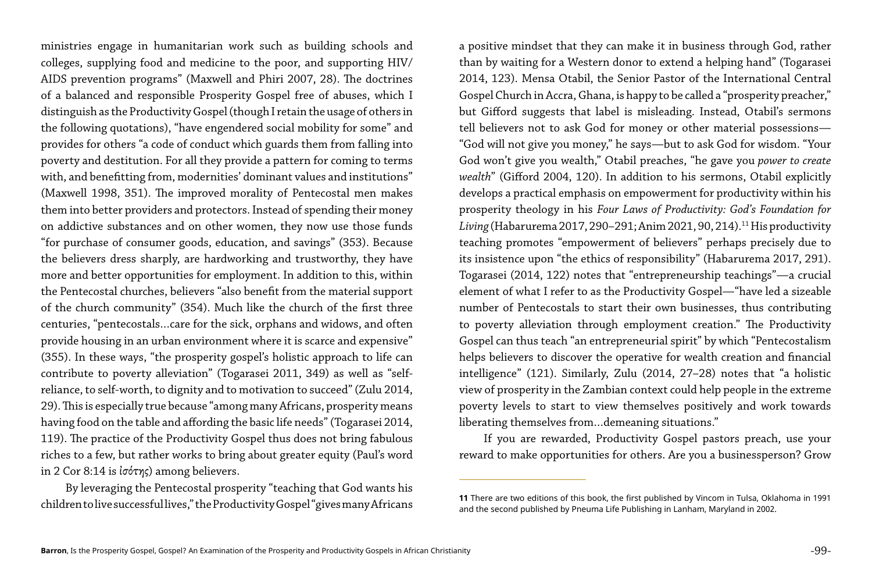ministries engage in humanitarian work such as building schools and colleges, supplying food and medicine to the poor, and supporting HIV/ AIDS prevention programs" (Maxwell and Phiri 2007, 28). The doctrines of a balanced and responsible Prosperity Gospel free of abuses, which I distinguish as the Productivity Gospel (though I retain the usage of others in the following quotations), "have engendered social mobility for some" and provides for others "a code of conduct which guards them from falling into poverty and destitution. For all they provide a pattern for coming to terms with, and benefitting from, modernities' dominant values and institutions" (Maxwell 1998, 351). The improved morality of Pentecostal men makes them into better providers and protectors. Instead of spending their money on addictive substances and on other women, they now use those funds "for purchase of consumer goods, education, and savings" (353). Because the believers dress sharply, are hardworking and trustworthy, they have more and better opportunities for employment. In addition to this, within the Pentecostal churches, believers "also benefit from the material support of the church community" (354). Much like the church of the first three centuries, "pentecostals…care for the sick, orphans and widows, and often provide housing in an urban environment where it is scarce and expensive" (355). In these ways, "the prosperity gospel's holistic approach to life can contribute to poverty alleviation" (Togarasei 2011, 349) as well as "selfreliance, to self-worth, to dignity and to motivation to succeed" (Zulu 2014, 29). This is especially true because "among many Africans, prosperity means having food on the table and affording the basic life needs" (Togarasei 2014, 119). The practice of the Productivity Gospel thus does not bring fabulous riches to a few, but rather works to bring about greater equity (Paul's word in 2 Cor 8:14 is ἰσότης) among believers.

By leveraging the Pentecostal prosperity "teaching that God wants his children to live successful lives," the Productivity Gospel "gives many Africans

a positive mindset that they can make it in business through God, rather than by waiting for a Western donor to extend a helping hand" (Togarasei 2014, 123). Mensa Otabil, the Senior Pastor of the International Central Gospel Church in Accra, Ghana, is happy to be called a "prosperity preacher," but Gifford suggests that label is misleading. Instead, Otabil's sermons tell believers not to ask God for money or other material possessions— "God will not give you money," he says—but to ask God for wisdom. "Your God won't give you wealth," Otabil preaches, "he gave you *power to create wealth*" (Gifford 2004, 120). In addition to his sermons, Otabil explicitly develops a practical emphasis on empowerment for productivity within his prosperity theology in his *Four Laws of Productivity: God's Foundation for*  Living (Habarurema 2017, 290-291; Anim 2021, 90, 214).<sup>11</sup> His productivity teaching promotes "empowerment of believers" perhaps precisely due to its insistence upon "the ethics of responsibility" (Habarurema 2017, 291). Togarasei (2014, 122) notes that "entrepreneurship teachings"—a crucial element of what I refer to as the Productivity Gospel—"have led a sizeable number of Pentecostals to start their own businesses, thus contributing to poverty alleviation through employment creation." The Productivity Gospel can thus teach "an entrepreneurial spirit" by which "Pentecostalism helps believers to discover the operative for wealth creation and financial intelligence" (121). Similarly, Zulu (2014, 27–28) notes that "a holistic view of prosperity in the Zambian context could help people in the extreme poverty levels to start to view themselves positively and work towards liberating themselves from…demeaning situations."

If you are rewarded, Productivity Gospel pastors preach, use your reward to make opportunities for others. Are you a businessperson? Grow

**<sup>11</sup>** There are two editions of this book, the first published by Vincom in Tulsa, Oklahoma in 1991 and the second published by Pneuma Life Publishing in Lanham, Maryland in 2002.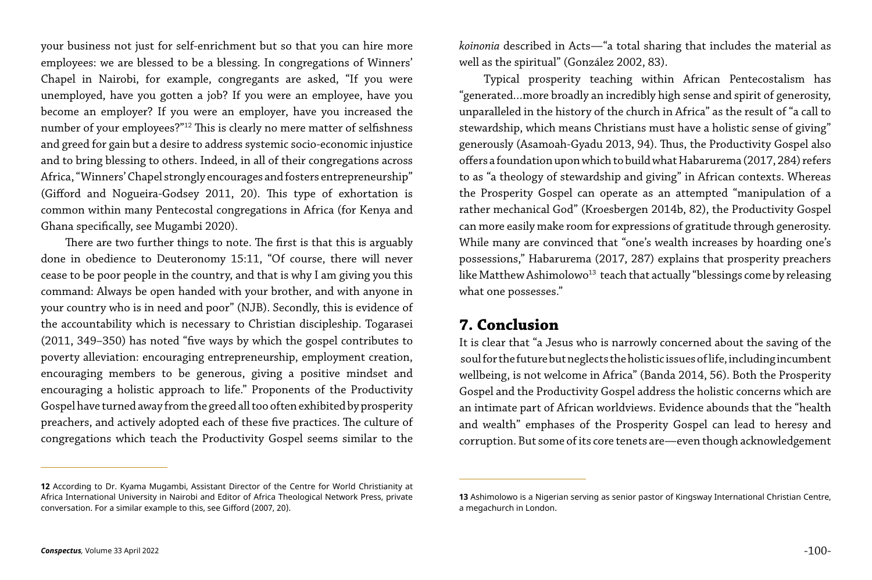your business not just for self-enrichment but so that you can hire more employees: we are blessed to be a blessing. In congregations of Winners' Chapel in Nairobi, for example, congregants are asked, "If you were unemployed, have you gotten a job? If you were an employee, have you become an employer? If you were an employer, have you increased the number of your employees?"12 This is clearly no mere matter of selfishness and greed for gain but a desire to address systemic socio-economic injustice and to bring blessing to others. Indeed, in all of their congregations across Africa, "Winners' Chapel strongly encourages and fosters entrepreneurship" (Gifford and Nogueira-Godsey 2011, 20). This type of exhortation is common within many Pentecostal congregations in Africa (for Kenya and Ghana specifically, see Mugambi 2020).

Typical prosperity teaching within African Pentecostalism has "generated…more broadly an incredibly high sense and spirit of generosity, unparalleled in the history of the church in Africa" as the result of "a call to stewardship, which means Christians must have a holistic sense of giving" generously (Asamoah-Gyadu 2013, 94). Thus, the Productivity Gospel also offers a foundation upon which to build what Habarurema (2017, 284) refers to as "a theology of stewardship and giving" in African contexts. Whereas the Prosperity Gospel can operate as an attempted "manipulation of a rather mechanical God" (Kroesbergen 2014b, 82), the Productivity Gospel can more easily make room for expressions of gratitude through generosity. While many are convinced that "one's wealth increases by hoarding one's possessions," Habarurema (2017, 287) explains that prosperity preachers like Matthew Ashimolowo<sup>13</sup> teach that actually "blessings come by releasing what one possesses."

There are two further things to note. The first is that this is arguably done in obedience to Deuteronomy 15:11, "Of course, there will never cease to be poor people in the country, and that is why I am giving you this command: Always be open handed with your brother, and with anyone in your country who is in need and poor" (NJB). Secondly, this is evidence of the accountability which is necessary to Christian discipleship. Togarasei (2011, 349–350) has noted "five ways by which the gospel contributes to poverty alleviation: encouraging entrepreneurship, employment creation, encouraging members to be generous, giving a positive mindset and encouraging a holistic approach to life." Proponents of the Productivity Gospel have turned away from the greed all too often exhibited by prosperity preachers, and actively adopted each of these five practices. The culture of congregations which teach the Productivity Gospel seems similar to the

*koinonia* described in Acts—"a total sharing that includes the material as well as the spiritual" (González 2002, 83).

#### **7. Conclusion**

It is clear that "a Jesus who is narrowly concerned about the saving of the soul for the future but neglects the holistic issues of life, including incumbent wellbeing, is not welcome in Africa" (Banda 2014, 56). Both the Prosperity Gospel and the Productivity Gospel address the holistic concerns which are an intimate part of African worldviews. Evidence abounds that the "health and wealth" emphases of the Prosperity Gospel can lead to heresy and corruption. But some of its core tenets are—even though acknowledgement

**13** Ashimolowo is a Nigerian serving as senior pastor of Kingsway International Christian Centre,

**<sup>12</sup>** According to Dr. Kyama Mugambi, Assistant Director of the Centre for World Christianity at Africa International University in Nairobi and Editor of Africa Theological Network Press, private conversation. For a similar example to this, see Gifford (2007, 20).

a megachurch in London.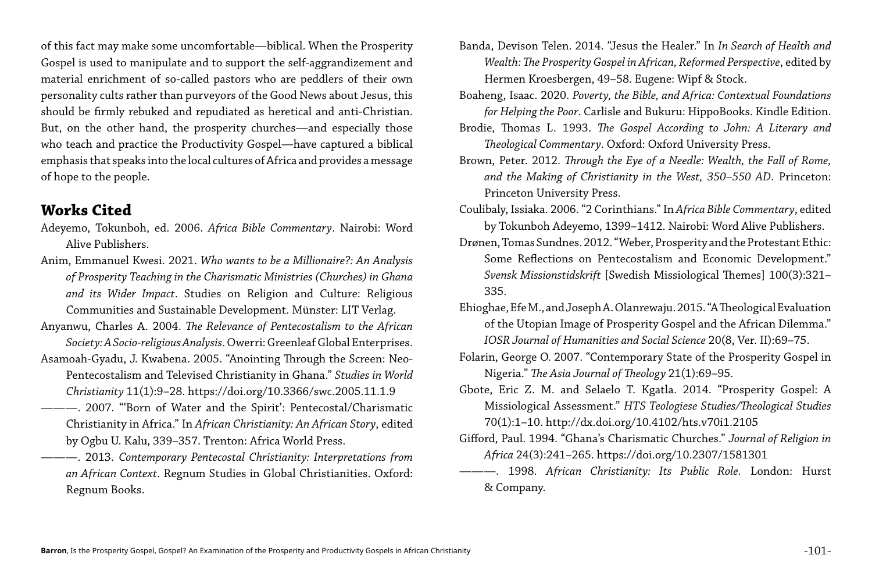of this fact may make some uncomfortable—biblical. When the Prosperity Gospel is used to manipulate and to support the self-aggrandizement and material enrichment of so-called pastors who are peddlers of their own personality cults rather than purveyors of the Good News about Jesus, this should be firmly rebuked and repudiated as heretical and anti-Christian. But, on the other hand, the prosperity churches—and especially those who teach and practice the Productivity Gospel—have captured a biblical emphasis that speaks into the local cultures of Africa and provides a message of hope to the people.

#### **Works Cited**

- Adeyemo, Tokunboh, ed. 2006. *Africa Bible Commentary*. Nairobi: Word Alive Publishers.
- Anim, Emmanuel Kwesi. 2021. *Who wants to be a Millionaire?: An Analysis of Prosperity Teaching in the Charismatic Ministries (Churches) in Ghana and its Wider Impact*. Studies on Religion and Culture: Religious Communities and Sustainable Development. Münster: LIT Verlag.
- Anyanwu, Charles A. 2004. *The Relevance of Pentecostalism to the African Society: A Socio-religious Analysis*. Owerri: Greenleaf Global Enterprises.
- Asamoah-Gyadu, J. Kwabena. 2005. "Anointing Through the Screen: Neo-Pentecostalism and Televised Christianity in Ghana." *Studies in World Christianity* 11(1):9–28. https://doi.org/10.3366/swc.2005.11.1.9
- ———. 2007. "'Born of Water and the Spirit': Pentecostal/Charismatic Christianity in Africa." In *African Christianity: An African Story*, edited by Ogbu U. Kalu, 339–357. Trenton: Africa World Press.
- ———. 2013. *Contemporary Pentecostal Christianity: Interpretations from an African Context*. Regnum Studies in Global Christianities. Oxford: Regnum Books.

Banda, Devison Telen. 2014. "Jesus the Healer." In *In Search of Health and Wealth: The Prosperity Gospel in African, Reformed Perspective*, edited by Hermen Kroesbergen, 49–58. Eugene: Wipf & Stock. Boaheng, Isaac. 2020. *Poverty, the Bible, and Africa: Contextual Foundations for Helping the Poor*. Carlisle and Bukuru: HippoBooks. Kindle Edition. Brodie, Thomas L. 1993. *The Gospel According to John: A Literary and Theological Commentary*. Oxford: Oxford University Press. Brown, Peter. 2012. *Through the Eye of a Needle: Wealth, the Fall of Rome, and the Making of Christianity in the West, 350–550 AD*. Princeton: Princeton University Press. Coulibaly, Issiaka. 2006. "2 Corinthians." In *Africa Bible Commentary*, edited by Tokunboh Adeyemo, 1399–1412. Nairobi: Word Alive Publishers. Drønen, Tomas Sundnes. 2012. "Weber, Prosperity and the Protestant Ethic: Some Reflections on Pentecostalism and Economic Development." *Svensk Missionstidskrift* [Swedish Missiological Themes] 100(3):321– 335. Ehioghae, Efe M., and Joseph A. Olanrewaju. 2015. "A Theological Evaluation of the Utopian Image of Prosperity Gospel and the African Dilemma." *IOSR Journal of Humanities and Social Science* 20(8, Ver. II):69–75. Folarin, George O. 2007. "Contemporary State of the Prosperity Gospel in Nigeria." *The Asia Journal of Theology* 21(1):69–95. Gbote, Eric Z. M. and Selaelo T. Kgatla. 2014. "Prosperity Gospel: A Missiological Assessment." *HTS Teologiese Studies/Theological Studies*  70(1):1–10. http://dx.doi.org/10.4102/hts.v70i1.2105 Gifford, Paul. 1994. "Ghana's Charismatic Churches." *Journal of Religion in Africa* 24(3):241–265. https://doi.org/10.2307/1581301 ———. 1998. *African Christianity: Its Public Role.* London: Hurst & Company.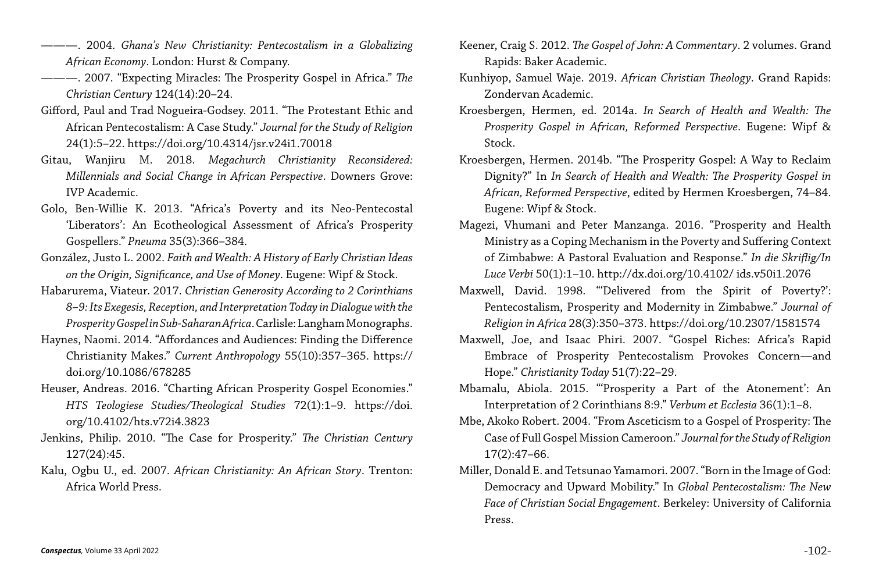- ———. 2004. *Ghana's New Christianity: Pentecostalism in a Globalizing African Economy*. London: Hurst & Company.
- ———. 2007. "Expecting Miracles: The Prosperity Gospel in Africa." *The Christian Century* 124(14):20–24.
- Gifford, Paul and Trad Nogueira-Godsey. 2011. "The Protestant Ethic and African Pentecostalism: A Case Study." *Journal for the Study of Religion*  24(1):5–22. https://doi.org/10.4314/jsr.v24i1.70018
- Gitau, Wanjiru M. 2018. *Megachurch Christianity Reconsidered: Millennials and Social Change in African Perspective*. Downers Grove: IVP Academic.
- Golo, Ben-Willie K. 2013. "Africa's Poverty and its Neo-Pentecostal 'Liberators': An Ecotheological Assessment of Africa's Prosperity Gospellers." *Pneuma* 35(3):366–384.
- González, Justo L. 2002. *Faith and Wealth: A History of Early Christian Ideas on the Origin, Significance, and Use of Money*. Eugene: Wipf & Stock.
- Habarurema, Viateur. 2017. *Christian Generosity According to 2 Corinthians 8–9: Its Exegesis, Reception, and Interpretation Today in Dialogue with the Prosperity Gospel in Sub-Saharan Africa*. Carlisle: Langham Monographs.
- Haynes, Naomi. 2014. "Affordances and Audiences: Finding the Difference Christianity Makes." *Current Anthropology* 55(10):357–365. https:// doi.org/10.1086/678285
- Heuser, Andreas. 2016. "Charting African Prosperity Gospel Economies." *HTS Teologiese Studies/Theological Studies* 72(1):1–9. https://doi. org/10.4102/hts.v72i4.3823
- Jenkins, Philip. 2010. "The Case for Prosperity." *The Christian Century* 127(24):45.
- Kalu, Ogbu U., ed. 2007. *African Christianity: An African Story*. Trenton: Africa World Press.

Keener, Craig S. 2012. *The Gospel of John: A Commentary*. 2 volumes. Grand Rapids: Baker Academic.

Kunhiyop, Samuel Waje. 2019. *African Christian Theology*. Grand Rapids:

Kroesbergen, Hermen, ed. 2014a. *In Search of Health and Wealth: The Prosperity Gospel in African, Reformed Perspective*. Eugene: Wipf &

Kroesbergen, Hermen. 2014b. "The Prosperity Gospel: A Way to Reclaim Dignity?" In *In Search of Health and Wealth: The Prosperity Gospel in African, Reformed Perspective*, edited by Hermen Kroesbergen, 74–84.

Magezi, Vhumani and Peter Manzanga. 2016. "Prosperity and Health Ministry as a Coping Mechanism in the Poverty and Suffering Context of Zimbabwe: A Pastoral Evaluation and Response." *In die Skriflig/In Luce Verbi* 50(1):1–10. http://dx.doi.org/10.4102/ ids.v50i1.2076

Maxwell, David. 1998. "'Delivered from the Spirit of Poverty?': Pentecostalism, Prosperity and Modernity in Zimbabwe." *Journal of Religion in Africa* 28(3):350–373. https://doi.org/10.2307/1581574

- Zondervan Academic.
- Stock.
- Eugene: Wipf & Stock.
- 
- 
- Hope." *Christianity Today* 51(7):22–29.
- 
- 17(2):47–66.
- Press.

Maxwell, Joe, and Isaac Phiri. 2007. "Gospel Riches: Africa's Rapid Embrace of Prosperity Pentecostalism Provokes Concern—and

Mbamalu, Abiola. 2015. "'Prosperity a Part of the Atonement': An Interpretation of 2 Corinthians 8:9." *Verbum et Ecclesia* 36(1):1–8.

Mbe, Akoko Robert. 2004. "From Asceticism to a Gospel of Prosperity: The Case of Full Gospel Mission Cameroon." *Journal for the Study of Religion*

Miller, Donald E. and Tetsunao Yamamori. 2007. "Born in the Image of God: Democracy and Upward Mobility." In *Global Pentecostalism: The New Face of Christian Social Engagement*. Berkeley: University of California